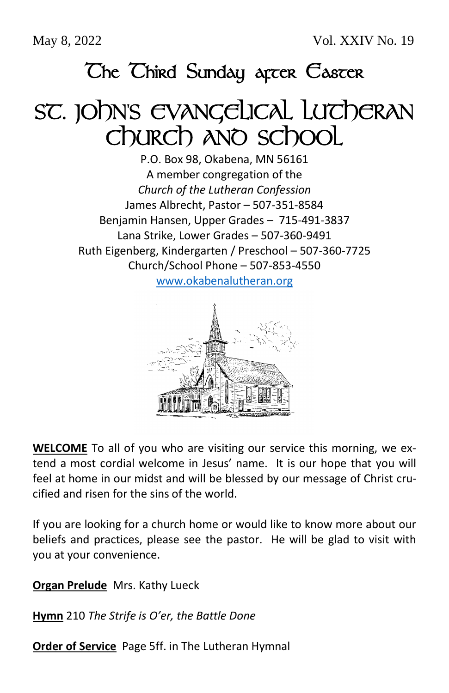May 8, 2022 Vol. XXIV No. 19

# The Third Sunday arcer Easter

# SC. JOhn's EVANGELICAL LUTCHERAN Church and school

P.O. Box 98, Okabena, MN 56161 A member congregation of the *Church of the Lutheran Confession* James Albrecht, Pastor – 507-351-8584 Benjamin Hansen, Upper Grades – 715-491-3837 Lana Strike, Lower Grades – 507-360-9491 Ruth Eigenberg, Kindergarten / Preschool – 507-360-7725 Church/School Phone – 507-853-4550

[www.okabenalutheran.org](http://www.okabenalutheran.org/)



**WELCOME** To all of you who are visiting our service this morning, we extend a most cordial welcome in Jesus' name. It is our hope that you will feel at home in our midst and will be blessed by our message of Christ crucified and risen for the sins of the world.

If you are looking for a church home or would like to know more about our beliefs and practices, please see the pastor. He will be glad to visit with you at your convenience.

**Organ Prelude** Mrs. Kathy Lueck

**Hymn** 210 *The Strife is O'er, the Battle Done*

**Order of Service** Page 5ff. in The Lutheran Hymnal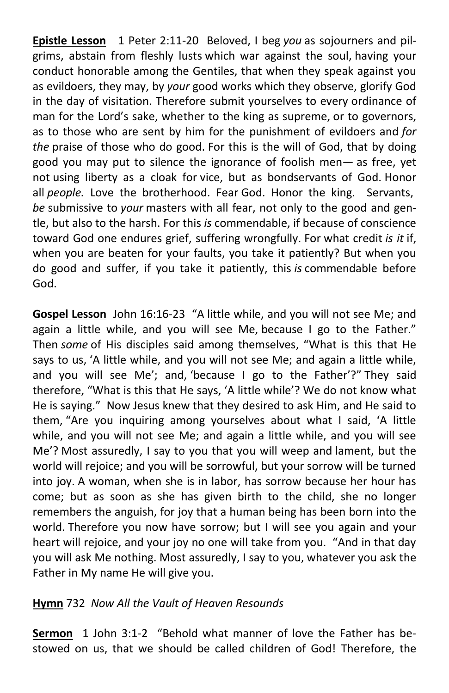**Epistle Lesson** 1 Peter 2:11-20 Beloved, I beg *you* as sojourners and pilgrims, abstain from fleshly lusts which war against the soul, having your conduct honorable among the Gentiles, that when they speak against you as evildoers, they may, by *your* good works which they observe, glorify God in the day of visitation. Therefore submit yourselves to every ordinance of man for the Lord's sake, whether to the king as supreme, or to governors, as to those who are sent by him for the punishment of evildoers and *for the* praise of those who do good. For this is the will of God, that by doing good you may put to silence the ignorance of foolish men— as free, yet not using liberty as a cloak for vice, but as bondservants of God. Honor all *people.* Love the brotherhood. Fear God. Honor the king. Servants, *be* submissive to *your* masters with all fear, not only to the good and gentle, but also to the harsh. For this *is* commendable, if because of conscience toward God one endures grief, suffering wrongfully. For what credit *is it* if, when you are beaten for your faults, you take it patiently? But when you do good and suffer, if you take it patiently, this *is* commendable before God.

**Gospel Lesson** John 16:16-23 "A little while, and you will not see Me; and again a little while, and you will see Me, because I go to the Father." Then *some* of His disciples said among themselves, "What is this that He says to us, 'A little while, and you will not see Me; and again a little while, and you will see Me'; and, 'because I go to the Father'?" They said therefore, "What is this that He says, 'A little while'? We do not know what He is saying." Now Jesus knew that they desired to ask Him, and He said to them, "Are you inquiring among yourselves about what I said, 'A little while, and you will not see Me; and again a little while, and you will see Me'? Most assuredly, I say to you that you will weep and lament, but the world will rejoice; and you will be sorrowful, but your sorrow will be turned into joy. A woman, when she is in labor, has sorrow because her hour has come; but as soon as she has given birth to the child, she no longer remembers the anguish, for joy that a human being has been born into the world. Therefore you now have sorrow; but I will see you again and your heart will rejoice, and your joy no one will take from you. "And in that day you will ask Me nothing. Most assuredly, I say to you, whatever you ask the Father in My name He will give you.

#### **Hymn** 732 *Now All the Vault of Heaven Resounds*

**Sermon** 1 John 3:1-2 "Behold what manner of love the Father has bestowed on us, that we should be called children of God! Therefore, the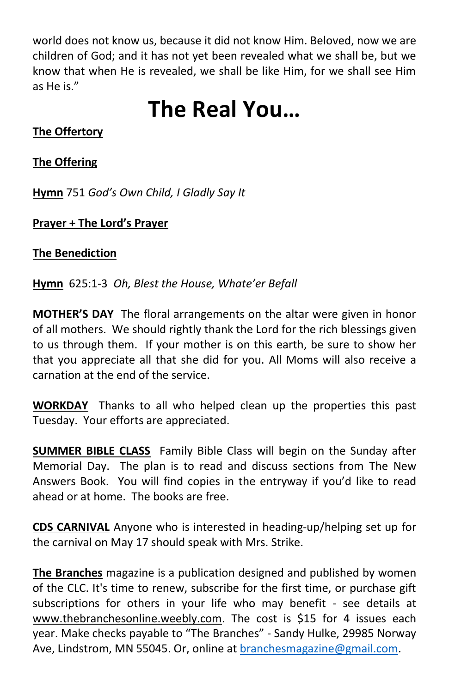world does not know us, because it did not know Him. Beloved, now we are children of God; and it has not yet been revealed what we shall be, but we know that when He is revealed, we shall be like Him, for we shall see Him as He is."

# **The Real You…**

## **The Offertory**

### **The Offering**

**Hymn** 751 *God's Own Child, I Gladly Say It*

### **Prayer + The Lord's Prayer**

#### **The Benediction**

**Hymn** 625:1-3 *Oh, Blest the House, Whate'er Befall*

**MOTHER'S DAY** The floral arrangements on the altar were given in honor of all mothers. We should rightly thank the Lord for the rich blessings given to us through them. If your mother is on this earth, be sure to show her that you appreciate all that she did for you. All Moms will also receive a carnation at the end of the service.

**WORKDAY** Thanks to all who helped clean up the properties this past Tuesday. Your efforts are appreciated.

**SUMMER BIBLE CLASS** Family Bible Class will begin on the Sunday after Memorial Day. The plan is to read and discuss sections from The New Answers Book. You will find copies in the entryway if you'd like to read ahead or at home. The books are free.

**CDS CARNIVAL** Anyone who is interested in heading-up/helping set up for the carnival on May 17 should speak with Mrs. Strike.

**The Branches** magazine is a publication designed and published by women of the CLC. It's time to renew, subscribe for the first time, or purchase gift subscriptions for others in your life who may benefit - see details at www.thebranchesonline.weebly.com. The cost is \$15 for 4 issues each year. Make checks payable to "The Branches" - Sandy Hulke, 29985 Norway Ave, Lindstrom, MN 55045. Or, online a[t branchesmagazine@gmail.com.](mailto:branchesmagazine@gmail.com)